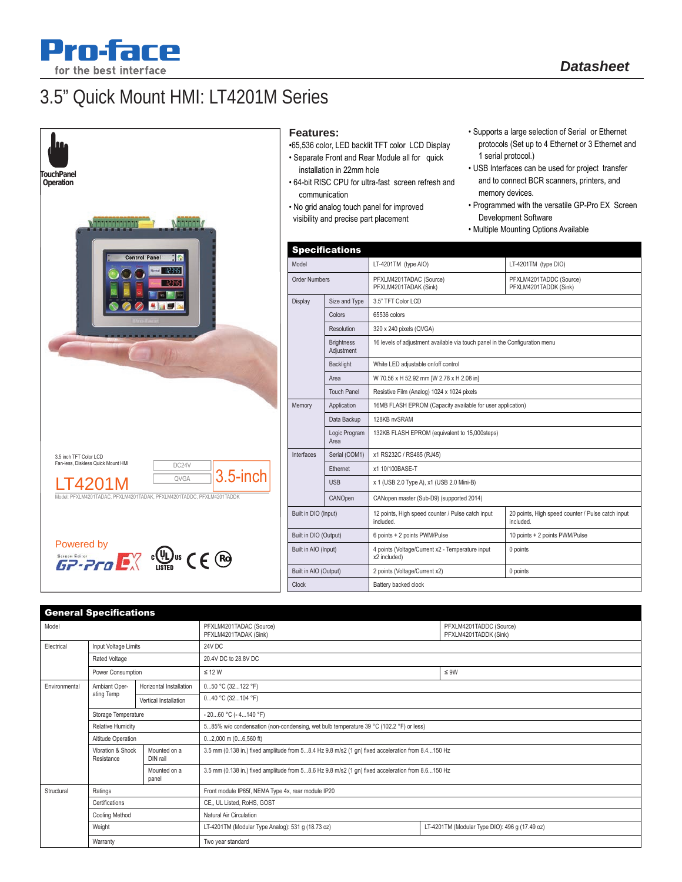

# 3.5" Quick Mount HMI: LT4201M Series





### **Features:**

- •65,536 color, LED backlit TFT color LCD Display
- Separate Front and Rear Module all for quick installation in 22mm hole
- 64-bit RISC CPU for ultra-fast screen refresh and communication
- No grid analog touch panel for improved visibility and precise part placement
- Supports a large selection of Serial or Ethernet protocols (Set up to 4 Ethernet or 3 Ethernet and 1 serial protocol.)
- USB Interfaces can be used for project transfer and to connect BCR scanners, printers, and memory devices.
- Programmed with the versatile GP-Pro EX Screen Development Software
- Multiple Mounting Options Available

|                       | <b>Specifications</b>           |                                                                             |                                                                |  |
|-----------------------|---------------------------------|-----------------------------------------------------------------------------|----------------------------------------------------------------|--|
| Model                 |                                 | LT-4201TM (type AIO)                                                        | LT-4201TM (type DIO)                                           |  |
| <b>Order Numbers</b>  |                                 | PFXLM4201TADAC (Source)<br>PFXLM4201TADAK (Sink)                            | PFXLM4201TADDC (Source)<br>PFXLM4201TADDK (Sink)               |  |
| Display               | Size and Type                   | 3.5" TFT Color LCD                                                          |                                                                |  |
|                       | Colors                          | 65536 colors                                                                |                                                                |  |
|                       | Resolution                      | 320 x 240 pixels (QVGA)                                                     |                                                                |  |
|                       | <b>Brightness</b><br>Adjustment | 16 levels of adjustment available via touch panel in the Configuration menu |                                                                |  |
|                       | <b>Backlight</b>                | White LED adjustable on/off control                                         |                                                                |  |
|                       | Area                            | W 70.56 x H 52.92 mm [W 2.78 x H 2.08 in]                                   |                                                                |  |
|                       | <b>Touch Panel</b>              | Resistive Film (Analog) 1024 x 1024 pixels                                  |                                                                |  |
| Memory                | Application                     | 16MB FLASH EPROM (Capacity available for user application)                  |                                                                |  |
|                       | Data Backup                     | 128KB nvSRAM                                                                |                                                                |  |
|                       | Logic Program<br>Area           | 132KB FLASH EPROM (equivalent to 15,000steps)                               |                                                                |  |
| Interfaces            | Serial (COM1)                   | x1 RS232C / RS485 (RJ45)                                                    |                                                                |  |
|                       | Ethernet                        | x1 10/100BASE-T                                                             |                                                                |  |
|                       | <b>USB</b>                      | x 1 (USB 2.0 Type A), x1 (USB 2.0 Mini-B)                                   |                                                                |  |
|                       | CANOpen                         | CANopen master (Sub-D9) (supported 2014)                                    |                                                                |  |
| Built in DIO (Input)  |                                 | 12 points, High speed counter / Pulse catch input<br>included.              | 20 points, High speed counter / Pulse catch input<br>included. |  |
| Built in DIO (Output) |                                 | 6 points + 2 points PWM/Pulse                                               | 10 points + 2 points PWM/Pulse                                 |  |
| Built in AIO (Input)  |                                 | 4 points (Voltage/Current x2 - Temperature input<br>x2 included)            | 0 points                                                       |  |
| Built in AIO (Output) |                                 | 2 points (Voltage/Current x2)                                               | 0 points                                                       |  |
| Clock                 |                                 | Battery backed clock                                                        |                                                                |  |

|               | <b>General Specifications</b>   |                          |                                                                                                   |                                                  |  |
|---------------|---------------------------------|--------------------------|---------------------------------------------------------------------------------------------------|--------------------------------------------------|--|
| Model         |                                 |                          | PFXLM4201TADAC (Source)<br>PFXLM4201TADAK (Sink)                                                  | PFXLM4201TADDC (Source)<br>PFXLM4201TADDK (Sink) |  |
| Electrical    | Input Voltage Limits            |                          | 24V DC                                                                                            |                                                  |  |
|               | Rated Voltage                   |                          | 20.4V DC to 28.8V DC                                                                              |                                                  |  |
|               | Power Consumption               |                          | $\leq$ 12 W                                                                                       | $\leq 9W$                                        |  |
| Environmental | Ambiant Oper-<br>ating Temp     | Horizontal Installation  | 050 °C (32122 °F)                                                                                 |                                                  |  |
|               |                                 | Vertical Installation    | 040 °C (32104 °F)                                                                                 |                                                  |  |
|               | Storage Temperature             |                          | $-2060$ °C ( $-4140$ °F)                                                                          |                                                  |  |
|               | <b>Relative Humidity</b>        |                          | 585% w/o condensation (non-condensing, wet bulb temperature 39 °C (102.2 °F) or less)             |                                                  |  |
|               | Altitude Operation              |                          | $02,000$ m $(06,560$ ft)                                                                          |                                                  |  |
|               | Vibration & Shock<br>Resistance | Mounted on a<br>DIN rail | 3.5 mm (0.138 in.) fixed amplitude from 58.4 Hz 9.8 m/s2 (1 gn) fixed acceleration from 8.4150 Hz |                                                  |  |
|               |                                 | Mounted on a<br>panel    | 3.5 mm (0.138 in.) fixed amplitude from 58.6 Hz 9.8 m/s2 (1 gn) fixed acceleration from 8.6150 Hz |                                                  |  |
| Structural    | Ratings                         |                          | Front module IP65f, NEMA Type 4x, rear module IP20                                                |                                                  |  |
|               | Certifications                  |                          | CE., UL Listed, RoHS, GOST                                                                        |                                                  |  |
|               | Cooling Method                  |                          | Natural Air Circulation                                                                           |                                                  |  |
|               | Weight                          |                          | LT-4201TM (Modular Type Analog): 531 g (18.73 oz)                                                 | LT-4201TM (Modular Type DIO): 496 g (17.49 oz)   |  |
|               | Warranty                        |                          | Two year standard                                                                                 |                                                  |  |